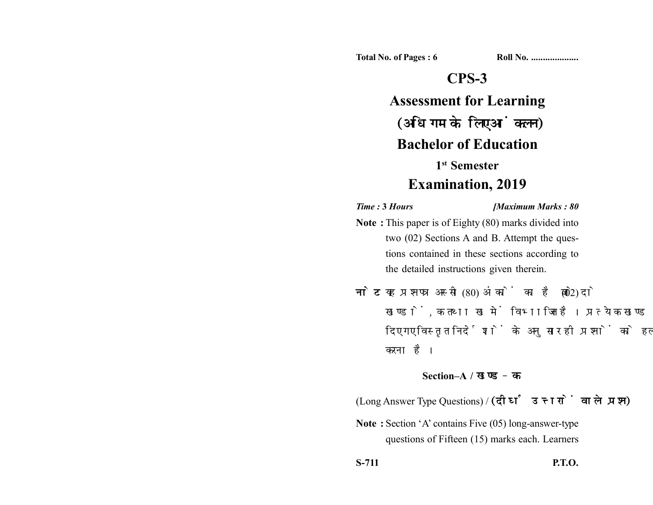**Total No. of Pages : 6 Roll No. ...................** 

## **CPS-3**

# **Assessment for Learning** (अधिगम के लिए आंकलन) **Bachelor of Education 1st Semester**

## **Examination, 2019**

*Time :* **3** *Hours [Maximum Marks : 80*

- **Note :** This paper is of Eighty (80) marks divided into two (02) Sections A and B. Attempt the questions contained in these sections according to the detailed instructions given therein.
- नोट: यह प्रश्नपत्र अस्सी (80) अंकों का है जो दो (02) खण्डों. क तथा ख में विभाजित है। प्रत्येक खण्ड में दिए गए विस्तृत निर्देशों के अनुसार ही प्रश्नों को हल करना है।

### **Section–A /**

(Long Answer Type Questions) / (दीर्घ उत्तरों वाले प्रश्न)

**Note :** Section 'A' contains Five (05) long-answer-type questions of Fifteen (15) marks each. Learners

**S-711 P.T.O.**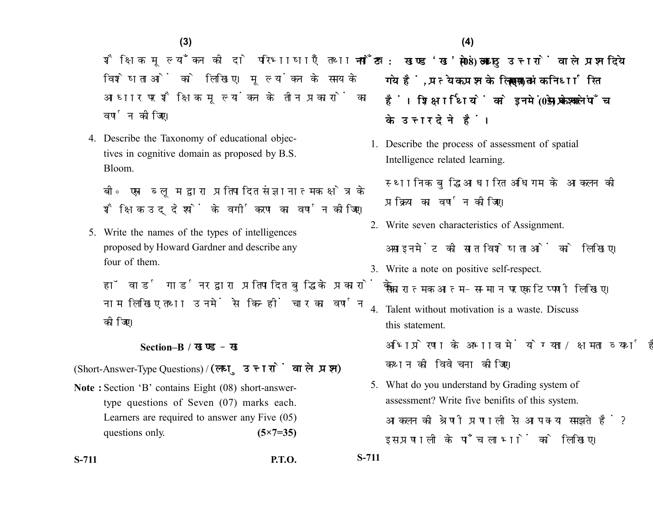शैक्षिक मूल्याँकन की दो परिभाषाएँ तथा पाँच विशेषताओं को लिखिए। मूल्यांकन के समय के आधार पर शैक्षिक मूल्यांकन के तीन प्रकारों का वर्णन कोजिए।

4. Describe the Taxonomy of educational objectives in cognitive domain as proposed by B.S. Bloom.

बी॰ एस॰ ब्लम द्वारा प्रतिपादित संज्ञानात्मक क्षेत्र के शैक्षिक उद्देश्यों के वर्गीकरण का वर्णन कीजिए।

5. Write the names of the types of intelligences proposed by Howard Gardner and describe any four of them.

हॉवार्ड गार्डनर द्वारा प्रतिपादित बुद्धि के प्रकारों के नाम लिखिए तथा उनमें से किन्हीं चार का वर्णन कोजिए।

### **Section–B /**

(Short-Answer-Type Questions) / (लघु उत्तरों वाले प्रश्न)

**Note :** Section 'B' contains Eight (08) short-answertype questions of Seven (07) marks each. Learners are required to answer any Five (05) questions only. **(5×7=35)** 

**S-711 P.T.O. S-711**

- नोट: खण्ड 'ख' में आठ (08) लघ उत्तरों वाले प्रश्न दिये गये हैं, प्रत्येक प्रश्न के लिए सात (07) अंक निर्धारित हैं। शिक्षार्थियों को इनमें से केवल पाँच (05) प्रश्नों के उत्तर देने हैं।
	- 1. Describe the process of assessment of spatial Intelligence related learning.

स्थानिक बुद्धि आधारित अधिगम के आकलन की प्रक्रिया का वर्णन कोजिए।

- 2. Write seven characteristics of Assignment. असाइनमेंट की सात विशेषताओं को लिखिए।
- 3. Write a note on positive self-respect. सकारात्मक आत्म-सम्मान पर एक टिप्पणी लिखिए।
- 4. Talent without motivation is a waste. Discuss this statement.

अभिप्रेरणा के अभाव में योग्यता/क्षमता व्यर्थ है। इस कथन की विवेचना कीजिए।

5. What do you understand by Grading system of assessment? Write five benifits of this system. आकलन की श्रेणी प्रणाली से आप क्या समझते हैं? इस प्रणाली के पाँच लाभों को लिखिए।